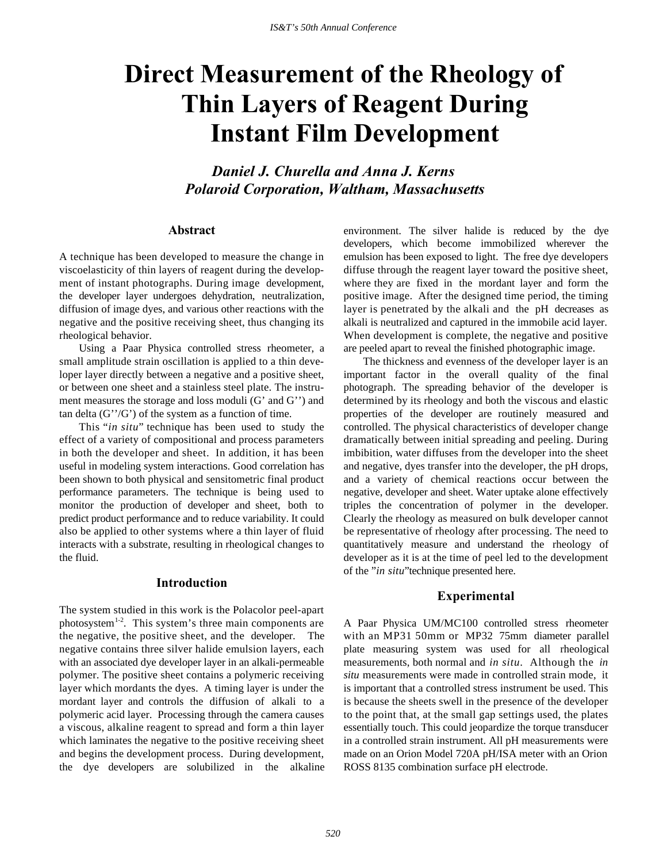# **Direct Measurement of the Rheology of Thin Layers of Reagent During Instant Film Development**

*Daniel J. Churella and Anna J. Kerns Polaroid Corporation, Waltham, Massachusetts*

#### **Abstract**

A technique has been developed to measure the change in viscoelasticity of thin layers of reagent during the development of instant photographs. During image development, the developer layer undergoes dehydration, neutralization, diffusion of image dyes, and various other reactions with the negative and the positive receiving sheet, thus changing its rheological behavior.

Using a Paar Physica controlled stress rheometer, a small amplitude strain oscillation is applied to a thin developer layer directly between a negative and a positive sheet, or between one sheet and a stainless steel plate. The instrument measures the storage and loss moduli (G' and G'') and tan delta  $(G''/G')$  of the system as a function of time.

This "*in situ*" technique has been used to study the effect of a variety of compositional and process parameters in both the developer and sheet. In addition, it has been useful in modeling system interactions. Good correlation has been shown to both physical and sensitometric final product performance parameters. The technique is being used to monitor the production of developer and sheet, both to predict product performance and to reduce variability. It could also be applied to other systems where a thin layer of fluid interacts with a substrate, resulting in rheological changes to the fluid.

## **Introduction**

The system studied in this work is the Polacolor peel-apart photosystem<sup>1-2</sup>. This system's three main components are the negative, the positive sheet, and the developer. The negative contains three silver halide emulsion layers, each with an associated dye developer layer in an alkali-permeable polymer. The positive sheet contains a polymeric receiving layer which mordants the dyes. A timing layer is under the mordant layer and controls the diffusion of alkali to a polymeric acid layer. Processing through the camera causes a viscous, alkaline reagent to spread and form a thin layer which laminates the negative to the positive receiving sheet and begins the development process. During development, the dye developers are solubilized in the alkaline environment. The silver halide is reduced by the dye developers, which become immobilized wherever the emulsion has been exposed to light. The free dye developers diffuse through the reagent layer toward the positive sheet, where they are fixed in the mordant layer and form the positive image. After the designed time period, the timing layer is penetrated by the alkali and the pH decreases as alkali is neutralized and captured in the immobile acid layer. When development is complete, the negative and positive are peeled apart to reveal the finished photographic image.

The thickness and evenness of the developer layer is an important factor in the overall quality of the final photograph. The spreading behavior of the developer is determined by its rheology and both the viscous and elastic properties of the developer are routinely measured and controlled. The physical characteristics of developer change dramatically between initial spreading and peeling. During imbibition, water diffuses from the developer into the sheet and negative, dyes transfer into the developer, the pH drops, and a variety of chemical reactions occur between the negative, developer and sheet. Water uptake alone effectively triples the concentration of polymer in the developer. Clearly the rheology as measured on bulk developer cannot be representative of rheology after processing. The need to quantitatively measure and understand the rheology of developer as it is at the time of peel led to the development of the "*in situ*"technique presented here.

## **Experimental**

A Paar Physica UM/MC100 controlled stress rheometer with an MP31 50mm or MP32 75mm diameter parallel plate measuring system was used for all rheological measurements, both normal and *in situ*. Although the *in situ* measurements were made in controlled strain mode, it is important that a controlled stress instrument be used. This is because the sheets swell in the presence of the developer to the point that, at the small gap settings used, the plates essentially touch. This could jeopardize the torque transducer in a controlled strain instrument. All pH measurements were made on an Orion Model 720A pH/ISA meter with an Orion ROSS 8135 combination surface pH electrode.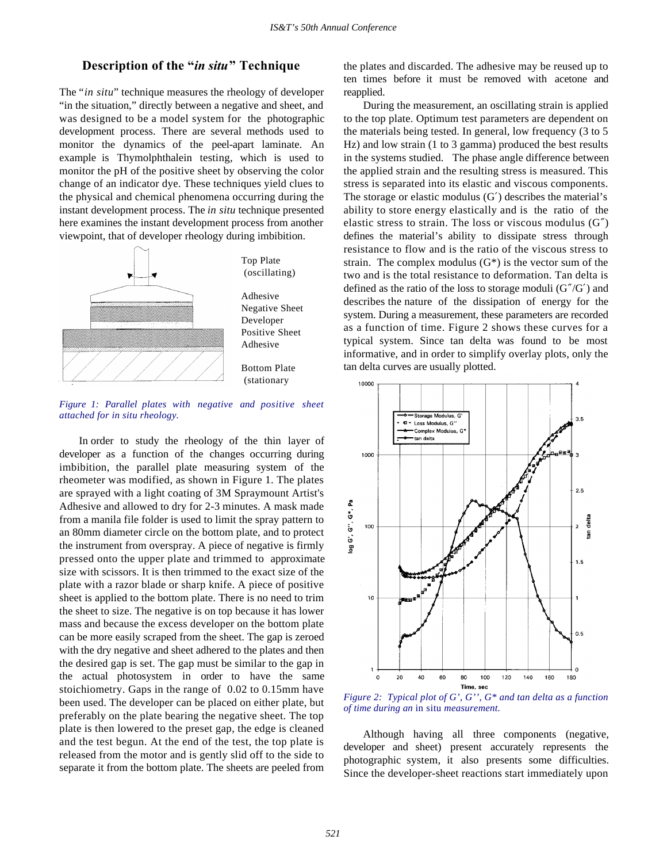## **Description of the "***in situ***" Technique**

The "*in situ*" technique measures the rheology of developer "in the situation," directly between a negative and sheet, and was designed to be a model system for the photographic development process. There are several methods used to monitor the dynamics of the peel-apart laminate. An example is Thymolphthalein testing, which is used to monitor the pH of the positive sheet by observing the color change of an indicator dye. These techniques yield clues to the physical and chemical phenomena occurring during the instant development process. The *in situ* technique presented here examines the instant development process from another viewpoint, that of developer rheology during imbibition.



*Figure 1: Parallel plates with negative and positive sheet attached for in situ rheology.*

In order to study the rheology of the thin layer of developer as a function of the changes occurring during imbibition, the parallel plate measuring system of the rheometer was modified, as shown in Figure 1. The plates are sprayed with a light coating of 3M Spraymount Artist's Adhesive and allowed to dry for 2-3 minutes. A mask made from a manila file folder is used to limit the spray pattern to an 80mm diameter circle on the bottom plate, and to protect the instrument from overspray. A piece of negative is firmly pressed onto the upper plate and trimmed to approximate size with scissors. It is then trimmed to the exact size of the plate with a razor blade or sharp knife. A piece of positive sheet is applied to the bottom plate. There is no need to trim the sheet to size. The negative is on top because it has lower mass and because the excess developer on the bottom plate can be more easily scraped from the sheet. The gap is zeroed with the dry negative and sheet adhered to the plates and then the desired gap is set. The gap must be similar to the gap in the actual photosystem in order to have the same stoichiometry. Gaps in the range of 0.02 to 0.15mm have been used. The developer can be placed on either plate, but preferably on the plate bearing the negative sheet. The top plate is then lowered to the preset gap, the edge is cleaned and the test begun. At the end of the test, the top plate is released from the motor and is gently slid off to the side to separate it from the bottom plate. The sheets are peeled from

the plates and discarded. The adhesive may be reused up to ten times before it must be removed with acetone and reapplied.

During the measurement, an oscillating strain is applied to the top plate. Optimum test parameters are dependent on the materials being tested. In general, low frequency (3 to 5 Hz) and low strain (1 to 3 gamma) produced the best results in the systems studied. The phase angle difference between the applied strain and the resulting stress is measured. This stress is separated into its elastic and viscous components. The storage or elastic modulus  $(G')$  describes the material's ability to store energy elastically and is the ratio of the elastic stress to strain. The loss or viscous modulus (G″) defines the material's ability to dissipate stress through resistance to flow and is the ratio of the viscous stress to strain. The complex modulus  $(G^*)$  is the vector sum of the two and is the total resistance to deformation. Tan delta is defined as the ratio of the loss to storage moduli  $(G''/G')$  and describes the nature of the dissipation of energy for the system. During a measurement, these parameters are recorded as a function of time. Figure 2 shows these curves for a typical system. Since tan delta was found to be most informative, and in order to simplify overlay plots, only the tan delta curves are usually plotted.



*Figure 2: Typical plot of G', G'', G\* and tan delta as a function of time during an* in situ *measurement.*

Although having all three components (negative, developer and sheet) present accurately represents the photographic system, it also presents some difficulties. Since the developer-sheet reactions start immediately upon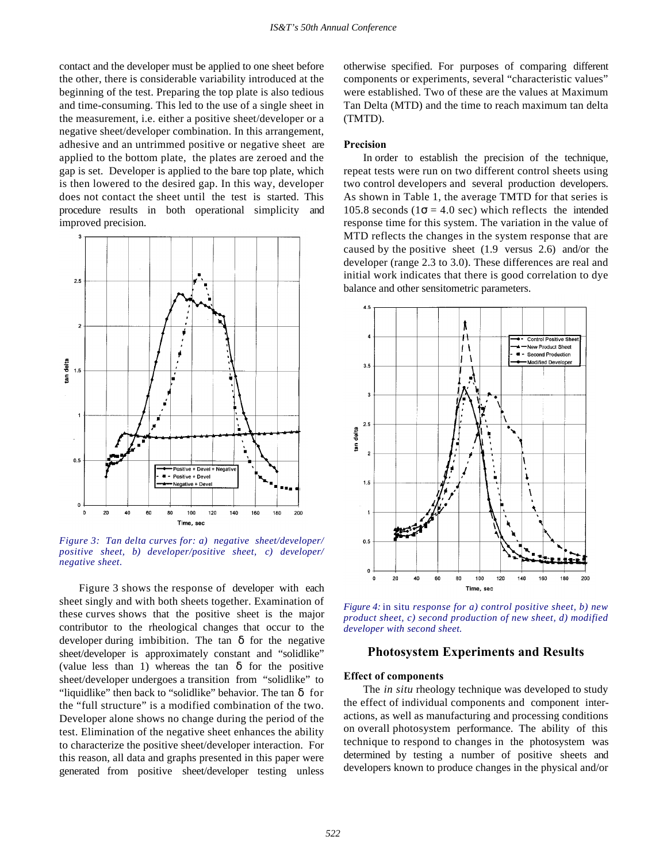contact and the developer must be applied to one sheet before the other, there is considerable variability introduced at the beginning of the test. Preparing the top plate is also tedious and time-consuming. This led to the use of a single sheet in the measurement, i.e. either a positive sheet/developer or a negative sheet/developer combination. In this arrangement, adhesive and an untrimmed positive or negative sheet are applied to the bottom plate, the plates are zeroed and the gap is set. Developer is applied to the bare top plate, which is then lowered to the desired gap. In this way, developer does not contact the sheet until the test is started. This procedure results in both operational simplicity and improved precision.



*Figure 3: Tan delta curves for: a) negative sheet/developer/ positive sheet, b) developer/positive sheet, c) developer/ negative sheet.*

Figure 3 shows the response of developer with each sheet singly and with both sheets together. Examination of these curves shows that the positive sheet is the major contributor to the rheological changes that occur to the developer during imbibition. The tan  $\delta$  for the negative sheet/developer is approximately constant and "solidlike" (value less than 1) whereas the tan  $\delta$  for the positive sheet/developer undergoes a transition from "solidlike" to "liquidlike" then back to "solidlike" behavior. The tan  $\delta$  for the "full structure" is a modified combination of the two. Developer alone shows no change during the period of the test. Elimination of the negative sheet enhances the ability to characterize the positive sheet/developer interaction. For this reason, all data and graphs presented in this paper were generated from positive sheet/developer testing unless

otherwise specified. For purposes of comparing different components or experiments, several "characteristic values" were established. Two of these are the values at Maximum Tan Delta (MTD) and the time to reach maximum tan delta (TMTD).

## **Precision**

In order to establish the precision of the technique, repeat tests were run on two different control sheets using two control developers and several production developers. As shown in Table 1, the average TMTD for that series is 105.8 seconds ( $1\sigma = 4.0$  sec) which reflects the intended response time for this system. The variation in the value of MTD reflects the changes in the system response that are caused by the positive sheet (1.9 versus 2.6) and/or the developer (range 2.3 to 3.0). These differences are real and initial work indicates that there is good correlation to dye balance and other sensitometric parameters.



*Figure 4:* in situ *response for a) control positive sheet, b) new product sheet, c) second production of new sheet, d) modified developer with second sheet.*

## **Photosystem Experiments and Results**

#### **Effect of components**

The *in situ* rheology technique was developed to study the effect of individual components and component interactions, as well as manufacturing and processing conditions on overall photosystem performance. The ability of this technique to respond to changes in the photosystem was determined by testing a number of positive sheets and developers known to produce changes in the physical and/or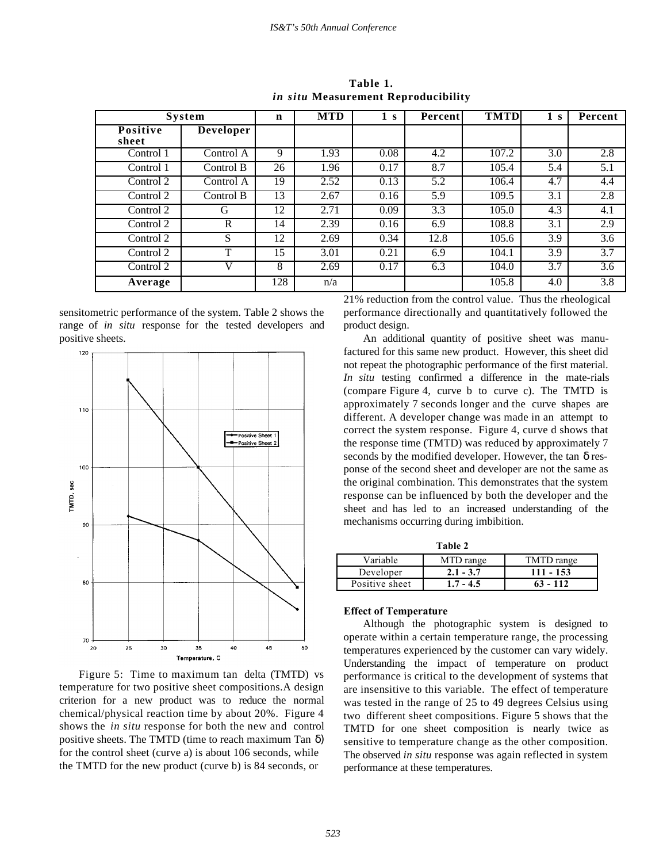| <b>System</b>     |                  | $\mathbf n$ | <b>MTD</b> | 1 s  | Percent | <b>TMTD</b> | S   | Percent |
|-------------------|------------------|-------------|------------|------|---------|-------------|-----|---------|
| Positive<br>sheet | <b>Developer</b> |             |            |      |         |             |     |         |
| Control 1         | Control A        | 9           | 1.93       | 0.08 | 4.2     | 107.2       | 3.0 | 2.8     |
| Control 1         | Control B        | 26          | 1.96       | 0.17 | 8.7     | 105.4       | 5.4 | 5.1     |
| Control 2         | Control A        | 19          | 2.52       | 0.13 | 5.2     | 106.4       | 4.7 | 4.4     |
| Control 2         | Control B        | 13          | 2.67       | 0.16 | 5.9     | 109.5       | 3.1 | 2.8     |
| Control 2         | G                | 12          | 2.71       | 0.09 | 3.3     | 105.0       | 4.3 | 4.1     |
| Control 2         | R                | 14          | 2.39       | 0.16 | 6.9     | 108.8       | 3.1 | 2.9     |
| Control 2         | S                | 12          | 2.69       | 0.34 | 12.8    | 105.6       | 3.9 | 3.6     |
| Control 2         | T                | 15          | 3.01       | 0.21 | 6.9     | 104.1       | 3.9 | 3.7     |
| Control 2         | v                | 8           | 2.69       | 0.17 | 6.3     | 104.0       | 3.7 | 3.6     |
| Average           |                  | 128         | n/a        |      |         | 105.8       | 4.0 | 3.8     |

**Table 1.** *in situ* **Measurement Reproducibility**

sensitometric performance of the system. Table 2 shows the range of *in situ* response for the tested developers and positive sheets.



Figure 5: Time to maximum tan delta (TMTD) vs temperature for two positive sheet compositions.A design criterion for a new product was to reduce the normal chemical/physical reaction time by about 20%. Figure 4 shows the *in situ* response for both the new and control positive sheets. The TMTD (time to reach maximum Tan  $\delta$ ) for the control sheet (curve a) is about 106 seconds, while the TMTD for the new product (curve b) is 84 seconds, or

21% reduction from the control value. Thus the rheological performance directionally and quantitatively followed the product design.

An additional quantity of positive sheet was manufactured for this same new product. However, this sheet did not repeat the photographic performance of the first material. *In situ* testing confirmed a difference in the mate-rials (compare Figure 4, curve b to curve c). The TMTD is approximately 7 seconds longer and the curve shapes are different. A developer change was made in an attempt to correct the system response. Figure 4, curve d shows that the response time (TMTD) was reduced by approximately 7 seconds by the modified developer. However, the tan  $\delta$  response of the second sheet and developer are not the same as the original combination. This demonstrates that the system response can be influenced by both the developer and the sheet and has led to an increased understanding of the mechanisms occurring during imbibition.

| ۹<br>۰,<br>۰. |  |
|---------------|--|
|---------------|--|

| Variable       | MTD range   | TMTD range  |
|----------------|-------------|-------------|
| Developer      | $2.1 - 3.7$ | $111 - 153$ |
| Positive sheet | $1.7 - 4.5$ | $63 - 112$  |

## **Effect of Temperature**

Although the photographic system is designed to operate within a certain temperature range, the processing temperatures experienced by the customer can vary widely. Understanding the impact of temperature on product performance is critical to the development of systems that are insensitive to this variable. The effect of temperature was tested in the range of 25 to 49 degrees Celsius using two different sheet compositions. Figure 5 shows that the TMTD for one sheet composition is nearly twice as sensitive to temperature change as the other composition. The observed *in situ* response was again reflected in system performance at these temperatures.